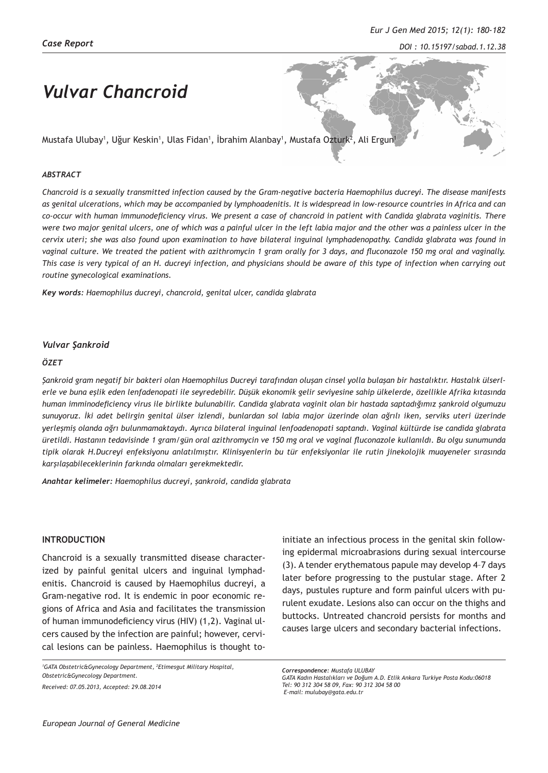*DOI : 10.15197/sabad.1.12.38*

# *Vulvar Chancroid*

Mustafa Ulubay', Uğur Keskin', Ulas Fidan', Ibrahim Alanbay', Mustafa Ozturk<sup>2</sup>, Ali Ergun'

#### *ABSTRACT*

*Chancroid is a sexually transmitted infection caused by the Gram-negative bacteria Haemophilus ducreyi. The disease manifests as genital ulcerations, which may be accompanied by lymphoadenitis. It is widespread in low-resource countries in Africa and can co-occur with human immunodeficiency virus. We present a case of chancroid in patient with Candida glabrata vaginitis. There were two major genital ulcers, one of which was a painful ulcer in the left labia major and the other was a painless ulcer in the cervix uteri; she was also found upon examination to have bilateral inguinal lymphadenopathy. Candida glabrata was found in vaginal culture. We treated the patient with azithromycin 1 gram orally for 3 days, and fluconazole 150 mg oral and vaginally. This case is very typical of an H. ducreyi infection, and physicians should be aware of this type of infection when carrying out routine gynecological examinations.*

*Key words: Haemophilus ducreyi, chancroid, genital ulcer, candida glabrata*

### *Vulvar Şankroid*

#### *ÖZET*

*Şankroid gram negatif bir bakteri olan Haemophilus Ducreyi tarafından oluşan cinsel yolla bulaşan bir hastalıktır. Hastalık ülserlerle ve buna eşlik eden lenfadenopati ile seyredebilir. Düşük ekonomik gelir seviyesine sahip ülkelerde, özellikle Afrika kıtasında human imminodeficiency virus ile birlikte bulunabilir. Candida glabrata vaginit olan bir hastada saptadığımız şankroid olgumuzu sunuyoruz. İki adet belirgin genital ülser izlendi, bunlardan sol labia major üzerinde olan ağrılı iken, serviks uteri üzerinde yerleşmiş olanda ağrı bulunmamaktaydı. Ayrıca bilateral inguinal lenfoadenopati saptandı. Vaginal kültürde ise candida glabrata üretildi. Hastanın tedavisinde 1 gram/gün oral azithromycin ve 150 mg oral ve vaginal fluconazole kullanıldı. Bu olgu sunumunda tipik olarak H.Ducreyi enfeksiyonu anlatılmıştır. Klinisyenlerin bu tür enfeksiyonlar ile rutin jinekolojik muayeneler sırasında karşılaşabileceklerinin farkında olmaları gerekmektedir.* 

*Anahtar kelimeler: Haemophilus ducreyi, şankroid, candida glabrata*

#### **INTRODUCTION**

Chancroid is a sexually transmitted disease characterized by painful genital ulcers and inguinal lymphadenitis. Chancroid is caused by Haemophilus ducreyi, a Gram-negative rod. It is endemic in poor economic regions of Africa and Asia and facilitates the transmission of human immunodeficiency virus (HIV) (1,2). Vaginal ulcers caused by the infection are painful; however, cervical lesions can be painless. Haemophilus is thought to-

*1 GATA Obstetric&Gynecology Department, <sup>2</sup> Etimesgut Military Hospital, Obstetric&Gynecology Department. Received: 07.05.2013, Accepted: 29.08.2014*

initiate an infectious process in the genital skin following epidermal microabrasions during sexual intercourse (3). A tender erythematous papule may develop 4–7 days later before progressing to the pustular stage. After 2 days, pustules rupture and form painful ulcers with purulent exudate. Lesions also can occur on the thighs and buttocks. Untreated chancroid persists for months and causes large ulcers and secondary bacterial infections.

*Correspondence: Mustafa ULUBAY*

*GATA Kadın Hastalıkları ve Doğum A.D. Etlik Ankara Turkiye Posta Kodu:06018 Tel: 90 312 304 58 09, Fax: 90 312 304 58 00 E-mail: mulubay@gata.edu.tr*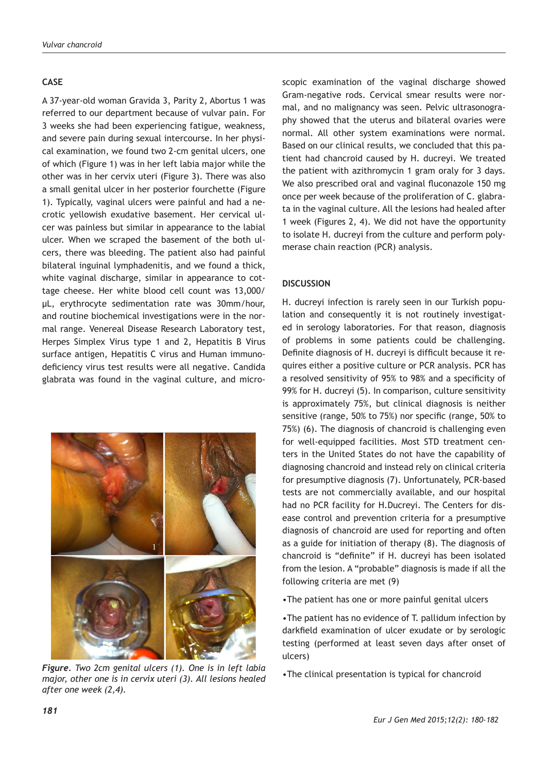## **CASE**

A 37-year-old woman Gravida 3, Parity 2, Abortus 1 was referred to our department because of vulvar pain. For 3 weeks she had been experiencing fatigue, weakness, and severe pain during sexual intercourse. In her physical examination, we found two 2-cm genital ulcers, one of which (Figure 1) was in her left labia major while the other was in her cervix uteri (Figure 3). There was also a small genital ulcer in her posterior fourchette (Figure 1). Typically, vaginal ulcers were painful and had a necrotic yellowish exudative basement. Her cervical ulcer was painless but similar in appearance to the labial ulcer. When we scraped the basement of the both ulcers, there was bleeding. The patient also had painful bilateral inguinal lymphadenitis, and we found a thick, white vaginal discharge, similar in appearance to cottage cheese. Her white blood cell count was 13,000/ μL, erythrocyte sedimentation rate was 30mm/hour, and routine biochemical investigations were in the normal range. Venereal Disease Research Laboratory test, Herpes Simplex Virus type 1 and 2, Hepatitis B Virus surface antigen, Hepatitis C virus and Human immunodeficiency virus test results were all negative. Candida glabrata was found in the vaginal culture, and micro-



•The clinical presentation is typical for chancroid *Figure. Two 2cm genital ulcers (1). One is in left labia major, other one is in cervix uteri (3). All lesions healed after one week (2,4).* 

scopic examination of the vaginal discharge showed Gram-negative rods. Cervical smear results were normal, and no malignancy was seen. Pelvic ultrasonography showed that the uterus and bilateral ovaries were normal. All other system examinations were normal. Based on our clinical results, we concluded that this patient had chancroid caused by H. ducreyi. We treated the patient with azithromycin 1 gram oraly for 3 days. We also prescribed oral and vaginal fluconazole 150 mg once per week because of the proliferation of C. glabrata in the vaginal culture. All the lesions had healed after 1 week (Figures 2, 4). We did not have the opportunity to isolate H. ducreyi from the culture and perform polymerase chain reaction (PCR) analysis.

#### **DISCUSSION**

H. ducreyi infection is rarely seen in our Turkish population and consequently it is not routinely investigated in serology laboratories. For that reason, diagnosis of problems in some patients could be challenging. Definite diagnosis of H. ducreyi is difficult because it requires either a positive culture or PCR analysis. PCR has a resolved sensitivity of 95% to 98% and a specificity of 99% for H. ducreyi (5). In comparison, culture sensitivity is approximately 75%, but clinical diagnosis is neither sensitive (range, 50% to 75%) nor specific (range, 50% to 75%) (6). The diagnosis of chancroid is challenging even for well-equipped facilities. Most STD treatment centers in the United States do not have the capability of diagnosing chancroid and instead rely on clinical criteria for presumptive diagnosis (7). Unfortunately, PCR-based tests are not commercially available, and our hospital had no PCR facility for H.Ducreyi. The Centers for disease control and prevention criteria for a presumptive diagnosis of chancroid are used for reporting and often as a guide for initiation of therapy (8). The diagnosis of chancroid is "definite" if H. ducreyi has been isolated from the lesion. A "probable" diagnosis is made if all the following criteria are met (9)

•The patient has one or more painful genital ulcers

•The patient has no evidence of T. pallidum infection by darkfield examination of ulcer exudate or by serologic testing (performed at least seven days after onset of ulcers)